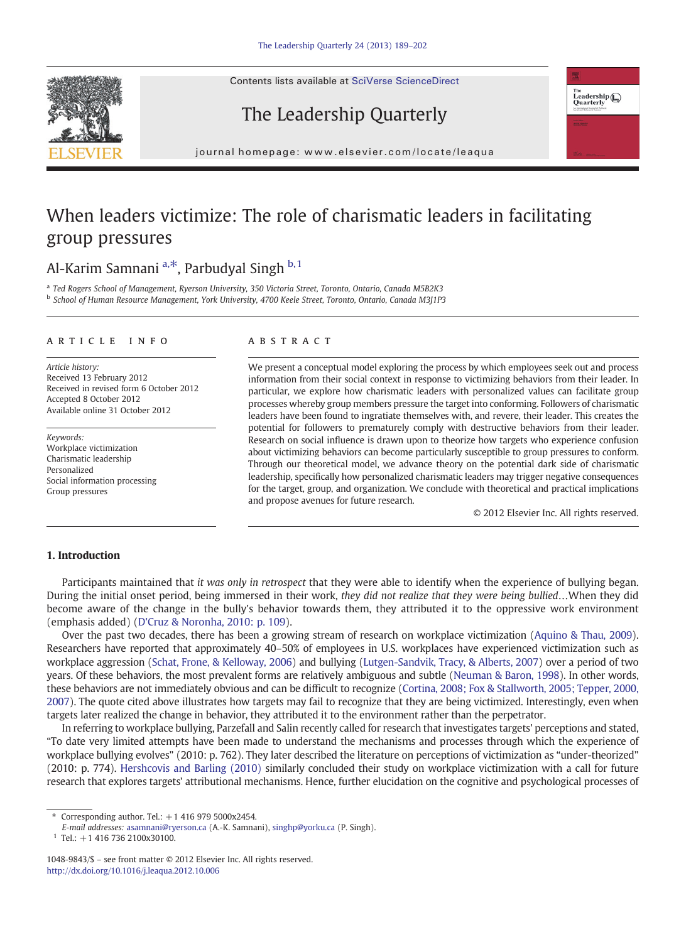Contents lists available at SciVerse ScienceDirect







journal homepage: www.elsevier.com/locate/leadual homepage: www.elsevier.com/locate/leadual homepage:  $\mathcal{L}$ 

## When leaders victimize: The role of charismatic leaders in facilitating group pressures

### Al-Karim Samnani  $a, *$ , Parbudyal Singh  $b, 1$

<sup>a</sup> Ted Rogers School of Management, Ryerson University, 350 Victoria Street, Toronto, Ontario, Canada M5B2K3 <sup>b</sup> School of Human Resource Management, York University, 4700 Keele Street, Toronto, Ontario, Canada M3J1P3

#### article info abstract

Article history: Received 13 February 2012 Received in revised form 6 October 2012 Accepted 8 October 2012 Available online 31 October 2012

Keywords: Workplace victimization Charismatic leadership Personalized Social information processing Group pressures

We present a conceptual model exploring the process by which employees seek out and process information from their social context in response to victimizing behaviors from their leader. In particular, we explore how charismatic leaders with personalized values can facilitate group processes whereby group members pressure the target into conforming. Followers of charismatic leaders have been found to ingratiate themselves with, and revere, their leader. This creates the potential for followers to prematurely comply with destructive behaviors from their leader. Research on social influence is drawn upon to theorize how targets who experience confusion about victimizing behaviors can become particularly susceptible to group pressures to conform. Through our theoretical model, we advance theory on the potential dark side of charismatic leadership, specifically how personalized charismatic leaders may trigger negative consequences for the target, group, and organization. We conclude with theoretical and practical implications and propose avenues for future research.

© 2012 Elsevier Inc. All rights reserved.

#### 1. Introduction

Participants maintained that it was only in retrospect that they were able to identify when the experience of bullying began. During the initial onset period, being immersed in their work, they did not realize that they were being bullied…When they did become aware of the change in the bully's behavior towards them, they attributed it to the oppressive work environment (emphasis added) ([D'Cruz & Noronha, 2010: p. 109\)](#page--1-0).

Over the past two decades, there has been a growing stream of research on workplace victimization [\(Aquino & Thau, 2009\)](#page--1-0). Researchers have reported that approximately 40–50% of employees in U.S. workplaces have experienced victimization such as workplace aggression ([Schat, Frone, & Kelloway, 2006\)](#page--1-0) and bullying [\(Lutgen-Sandvik, Tracy, & Alberts, 2007](#page--1-0)) over a period of two years. Of these behaviors, the most prevalent forms are relatively ambiguous and subtle [\(Neuman & Baron, 1998\)](#page--1-0). In other words, these behaviors are not immediately obvious and can be difficult to recognize [\(Cortina, 2008; Fox & Stallworth, 2005; Tepper, 2000,](#page--1-0) [2007\)](#page--1-0). The quote cited above illustrates how targets may fail to recognize that they are being victimized. Interestingly, even when targets later realized the change in behavior, they attributed it to the environment rather than the perpetrator.

In referring to workplace bullying, Parzefall and Salin recently called for research that investigates targets' perceptions and stated, "To date very limited attempts have been made to understand the mechanisms and processes through which the experience of workplace bullying evolves" (2010: p. 762). They later described the literature on perceptions of victimization as "under-theorized" (2010: p. 774). [Hershcovis and Barling \(2010\)](#page--1-0) similarly concluded their study on workplace victimization with a call for future research that explores targets' attributional mechanisms. Hence, further elucidation on the cognitive and psychological processes of

<sup>⁎</sup> Corresponding author. Tel.: +1 416 979 5000x2454.

E-mail addresses: [asamnani@ryerson.ca](mailto:asamnani@ryerson.ca) (A.-K. Samnani), [singhp@yorku.ca](mailto:singhp@yorku.ca) (P. Singh).

 $1$  Tel.: +1 416 736 2100x30100.

<sup>1048-9843/\$</sup> – see front matter © 2012 Elsevier Inc. All rights reserved. <http://dx.doi.org/10.1016/j.leaqua.2012.10.006>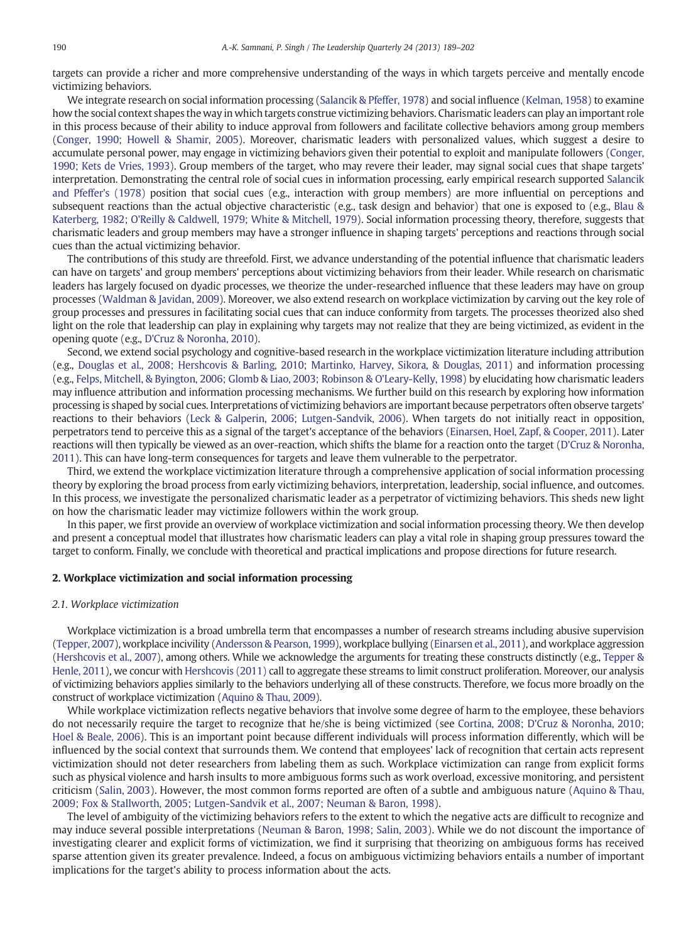targets can provide a richer and more comprehensive understanding of the ways in which targets perceive and mentally encode victimizing behaviors.

We integrate research on social information processing [\(Salancik & Pfeffer, 1978](#page--1-0)) and social influence [\(Kelman, 1958\)](#page--1-0) to examine how the social context shapes the way in which targets construe victimizing behaviors. Charismatic leaders can play an important role in this process because of their ability to induce approval from followers and facilitate collective behaviors among group members ([Conger, 1990; Howell & Shamir, 2005\)](#page--1-0). Moreover, charismatic leaders with personalized values, which suggest a desire to accumulate personal power, may engage in victimizing behaviors given their potential to exploit and manipulate followers ([Conger,](#page--1-0) [1990; Kets de Vries, 1993\)](#page--1-0). Group members of the target, who may revere their leader, may signal social cues that shape targets' interpretation. Demonstrating the central role of social cues in information processing, early empirical research supported [Salancik](#page--1-0) [and Pfeffer's \(1978\)](#page--1-0) position that social cues (e.g., interaction with group members) are more influential on perceptions and subsequent reactions than the actual objective characteristic (e.g., task design and behavior) that one is exposed to (e.g., [Blau &](#page--1-0) [Katerberg, 1982; O'Reilly & Caldwell, 1979; White & Mitchell, 1979](#page--1-0)). Social information processing theory, therefore, suggests that charismatic leaders and group members may have a stronger influence in shaping targets' perceptions and reactions through social cues than the actual victimizing behavior.

The contributions of this study are threefold. First, we advance understanding of the potential influence that charismatic leaders can have on targets' and group members' perceptions about victimizing behaviors from their leader. While research on charismatic leaders has largely focused on dyadic processes, we theorize the under-researched influence that these leaders may have on group processes ([Waldman & Javidan, 2009\)](#page--1-0). Moreover, we also extend research on workplace victimization by carving out the key role of group processes and pressures in facilitating social cues that can induce conformity from targets. The processes theorized also shed light on the role that leadership can play in explaining why targets may not realize that they are being victimized, as evident in the opening quote (e.g., [D'Cruz & Noronha, 2010\)](#page--1-0).

Second, we extend social psychology and cognitive-based research in the workplace victimization literature including attribution (e.g., [Douglas et al., 2008; Hershcovis & Barling, 2010; Martinko, Harvey, Sikora, & Douglas, 2011\)](#page--1-0) and information processing (e.g., [Felps, Mitchell, & Byington, 2006; Glomb & Liao, 2003; Robinson & O'Leary-Kelly, 1998](#page--1-0)) by elucidating how charismatic leaders may influence attribution and information processing mechanisms. We further build on this research by exploring how information processing is shaped by social cues. Interpretations of victimizing behaviors are important because perpetrators often observe targets' reactions to their behaviors ([Leck & Galperin, 2006; Lutgen-Sandvik, 2006](#page--1-0)). When targets do not initially react in opposition, perpetrators tend to perceive this as a signal of the target's acceptance of the behaviors [\(Einarsen, Hoel, Zapf, & Cooper, 2011](#page--1-0)). Later reactions will then typically be viewed as an over-reaction, which shifts the blame for a reaction onto the target ([D'Cruz & Noronha,](#page--1-0) [2011](#page--1-0)). This can have long-term consequences for targets and leave them vulnerable to the perpetrator.

Third, we extend the workplace victimization literature through a comprehensive application of social information processing theory by exploring the broad process from early victimizing behaviors, interpretation, leadership, social influence, and outcomes. In this process, we investigate the personalized charismatic leader as a perpetrator of victimizing behaviors. This sheds new light on how the charismatic leader may victimize followers within the work group.

In this paper, we first provide an overview of workplace victimization and social information processing theory. We then develop and present a conceptual model that illustrates how charismatic leaders can play a vital role in shaping group pressures toward the target to conform. Finally, we conclude with theoretical and practical implications and propose directions for future research.

### 2. Workplace victimization and social information processing

#### 2.1. Workplace victimization

Workplace victimization is a broad umbrella term that encompasses a number of research streams including abusive supervision ([Tepper, 2007\)](#page--1-0), workplace incivility [\(Andersson & Pearson, 1999\)](#page--1-0), workplace bullying [\(Einarsen et al., 2011\)](#page--1-0), and workplace aggression ([Hershcovis et al., 2007](#page--1-0)), among others. While we acknowledge the arguments for treating these constructs distinctly (e.g., [Tepper &](#page--1-0) [Henle, 2011\)](#page--1-0), we concur with [Hershcovis \(2011\)](#page--1-0) call to aggregate these streams to limit construct proliferation. Moreover, our analysis of victimizing behaviors applies similarly to the behaviors underlying all of these constructs. Therefore, we focus more broadly on the construct of workplace victimization ([Aquino & Thau, 2009](#page--1-0)).

While workplace victimization reflects negative behaviors that involve some degree of harm to the employee, these behaviors do not necessarily require the target to recognize that he/she is being victimized (see [Cortina, 2008; D'Cruz & Noronha, 2010;](#page--1-0) [Hoel & Beale, 2006](#page--1-0)). This is an important point because different individuals will process information differently, which will be influenced by the social context that surrounds them. We contend that employees' lack of recognition that certain acts represent victimization should not deter researchers from labeling them as such. Workplace victimization can range from explicit forms such as physical violence and harsh insults to more ambiguous forms such as work overload, excessive monitoring, and persistent criticism [\(Salin, 2003](#page--1-0)). However, the most common forms reported are often of a subtle and ambiguous nature ([Aquino & Thau,](#page--1-0) [2009; Fox & Stallworth, 2005; Lutgen-Sandvik et al., 2007; Neuman & Baron, 1998](#page--1-0)).

The level of ambiguity of the victimizing behaviors refers to the extent to which the negative acts are difficult to recognize and may induce several possible interpretations ([Neuman & Baron, 1998; Salin, 2003\)](#page--1-0). While we do not discount the importance of investigating clearer and explicit forms of victimization, we find it surprising that theorizing on ambiguous forms has received sparse attention given its greater prevalence. Indeed, a focus on ambiguous victimizing behaviors entails a number of important implications for the target's ability to process information about the acts.